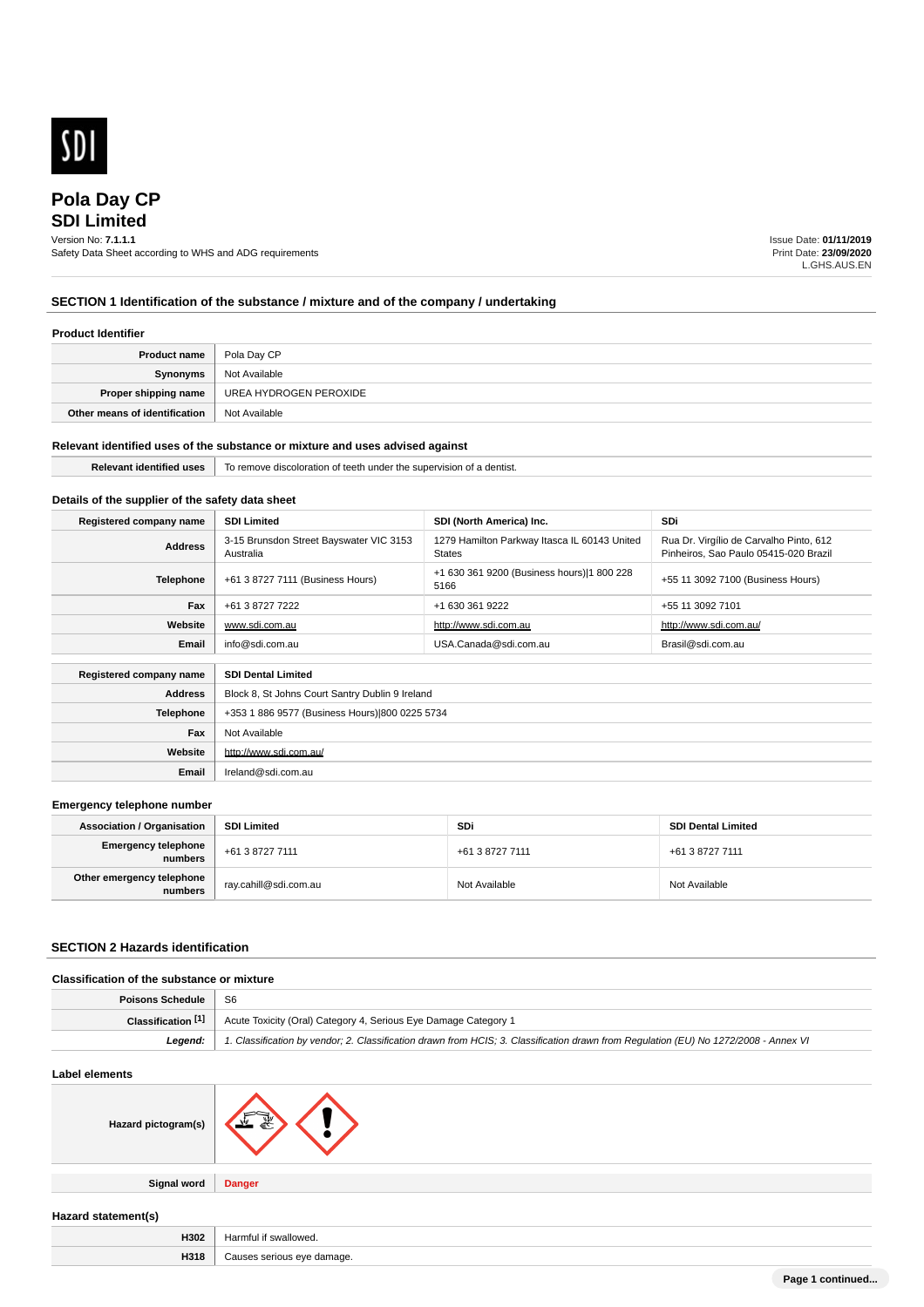

# **SDI Limited Pola Day CP**

## Version No: **7.1.1.1**

Safety Data Sheet according to WHS and ADG requirements

Issue Date: **01/11/2019** Print Date: **23/09/2020** L.GHS.AUS.EN

## **SECTION 1 Identification of the substance / mixture and of the company / undertaking**

## **Product Identifier**

| <b>Product name</b>           | Pola Day CP            |
|-------------------------------|------------------------|
| Synonyms                      | Not Available          |
| Proper shipping name          | UREA HYDROGEN PEROXIDE |
| Other means of identification | Not Available          |

## **Relevant identified uses of the substance or mixture and uses advised against**

**Relevant identified uses** To remove discoloration of teeth under the supervision of a dentist.

## **Details of the supplier of the safety data sheet**

| Registered company name | <b>SDI Limited</b>                                   | SDI (North America) Inc.                                      | <b>SDi</b>                                                                       |
|-------------------------|------------------------------------------------------|---------------------------------------------------------------|----------------------------------------------------------------------------------|
| <b>Address</b>          | 3-15 Brunsdon Street Bayswater VIC 3153<br>Australia | 1279 Hamilton Parkway Itasca IL 60143 United<br><b>States</b> | Rua Dr. Virgílio de Carvalho Pinto, 612<br>Pinheiros, Sao Paulo 05415-020 Brazil |
| <b>Telephone</b>        | +61 3 8727 7111 (Business Hours)                     | +1 630 361 9200 (Business hours) 1 800 228<br>5166            | +55 11 3092 7100 (Business Hours)                                                |
| Fax                     | +61 3 8727 7222                                      | +1 630 361 9222                                               | +55 11 3092 7101                                                                 |
| Website                 | www.sdi.com.au                                       | http://www.sdi.com.au                                         | http://www.sdi.com.au/                                                           |
| Email                   | info@sdi.com.au                                      | USA.Canada@sdi.com.au                                         | Brasil@sdi.com.au                                                                |
| Registered company name | <b>SDI Dental Limited</b>                            |                                                               |                                                                                  |
| <b>Address</b>          | Block 8, St Johns Court Santry Dublin 9 Ireland      |                                                               |                                                                                  |
| <b>Telephone</b>        | +353 1 886 9577 (Business Hours) 800 0225 5734       |                                                               |                                                                                  |
| Fax                     | Not Available                                        |                                                               |                                                                                  |
| Website                 | http://www.sdi.com.au/                               |                                                               |                                                                                  |
| Email                   | Ireland@sdi.com.au                                   |                                                               |                                                                                  |

### **Emergency telephone number**

| <b>Association / Organisation</b>    | <b>SDI Limited</b>    | <b>SDi</b>      | <b>SDI Dental Limited</b> |
|--------------------------------------|-----------------------|-----------------|---------------------------|
| Emergency telephone<br>numbers       | +61 3 8727 7111       | +61 3 8727 7111 | +61 3 8727 7111           |
| Other emergency telephone<br>numbers | rav.cahill@sdi.com.au | Not Available   | Not Available             |

### **SECTION 2 Hazards identification**

| Classification of the substance or mixture |                                                                                                                                      |
|--------------------------------------------|--------------------------------------------------------------------------------------------------------------------------------------|
| <b>Poisons Schedule</b>                    | - S6                                                                                                                                 |
| Classification [1]                         | Acute Toxicity (Oral) Category 4, Serious Eye Damage Category 1                                                                      |
| Leaend:                                    | 1. Classification by vendor; 2. Classification drawn from HCIS; 3. Classification drawn from Requlation (EU) No 1272/2008 - Annex VI |

### **Label elements**



**Signal word Danger**

## **Hazard statement(s)**

| H302                | Jormtul<br>$\sim$<br>$\cdots$<br>weu |
|---------------------|--------------------------------------|
| <b>LID44</b><br>пэн | nage.<br>$\sim$<br>,,,,,,,           |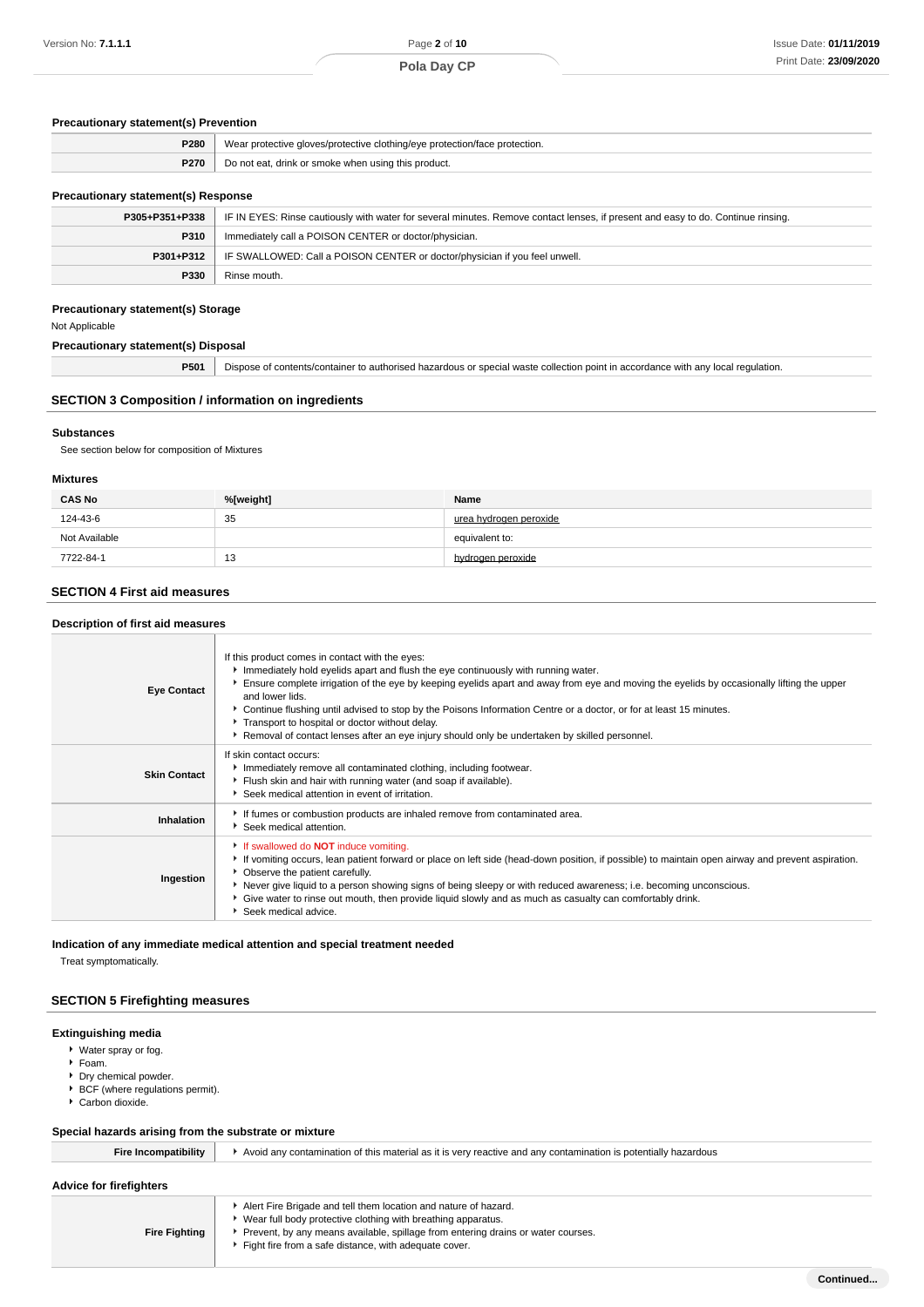### **Precautionary statement(s) Prevention**

| <b>P280</b> | Wear protective gloves/protective clothing/eye protection/face protection. |
|-------------|----------------------------------------------------------------------------|
|             | <b>P270</b> Do not eat, drink or smoke when using this product.            |
|             |                                                                            |

## **Precautionary statement(s) Response**

| P305+P351+P338 | IF IN EYES: Rinse cautiously with water for several minutes. Remove contact lenses, if present and easy to do. Continue rinsing. |
|----------------|----------------------------------------------------------------------------------------------------------------------------------|
| <b>P310</b>    | Immediately call a POISON CENTER or doctor/physician.                                                                            |
| P301+P312      | IF SWALLOWED: Call a POISON CENTER or doctor/physician if you feel unwell.                                                       |
| P330           | Rinse mouth.                                                                                                                     |
|                |                                                                                                                                  |

### **Precautionary statement(s) Storage**

Not Applicable

**Precautionary statement(s) Disposal**

**P501** Dispose of contents/container to authorised hazardous or special waste collection point in accordance with any local regulation.

### **SECTION 3 Composition / information on ingredients**

### **Substances**

See section below for composition of Mixtures

#### **Mixtures**

| <b>CAS No</b> | %[weight] | Name                   |
|---------------|-----------|------------------------|
| 124-43-6      | 35        | urea hydrogen peroxide |
| Not Available |           | equivalent to:         |
| 7722-84-1     | 13        | hydrogen peroxide      |

### **SECTION 4 First aid measures**

| Description of first aid measures |                                                                                                                                                                                                                                                                                                                                                                                                                                                                                                                                                                                 |  |
|-----------------------------------|---------------------------------------------------------------------------------------------------------------------------------------------------------------------------------------------------------------------------------------------------------------------------------------------------------------------------------------------------------------------------------------------------------------------------------------------------------------------------------------------------------------------------------------------------------------------------------|--|
| <b>Eye Contact</b>                | If this product comes in contact with the eyes:<br>Immediately hold eyelids apart and flush the eye continuously with running water.<br>Ensure complete irrigation of the eye by keeping eyelids apart and away from eye and moving the eyelids by occasionally lifting the upper<br>and lower lids.<br>▶ Continue flushing until advised to stop by the Poisons Information Centre or a doctor, or for at least 15 minutes.<br>Transport to hospital or doctor without delay.<br>Removal of contact lenses after an eye injury should only be undertaken by skilled personnel. |  |
| <b>Skin Contact</b>               | If skin contact occurs:<br>Immediately remove all contaminated clothing, including footwear.<br>Flush skin and hair with running water (and soap if available).<br>Seek medical attention in event of irritation.                                                                                                                                                                                                                                                                                                                                                               |  |
| Inhalation                        | If fumes or combustion products are inhaled remove from contaminated area.<br>Seek medical attention.                                                                                                                                                                                                                                                                                                                                                                                                                                                                           |  |
| Ingestion                         | If swallowed do <b>NOT</b> induce vomiting.<br>If vomiting occurs, lean patient forward or place on left side (head-down position, if possible) to maintain open airway and prevent aspiration.<br>• Observe the patient carefully.<br>▶ Never give liquid to a person showing signs of being sleepy or with reduced awareness; i.e. becoming unconscious.<br>Give water to rinse out mouth, then provide liquid slowly and as much as casualty can comfortably drink.<br>Seek medical advice.                                                                                  |  |

### **Indication of any immediate medical attention and special treatment needed**

Treat symptomatically.

## **SECTION 5 Firefighting measures**

## **Extinguishing media**

- Water spray or fog.
- $F$ Foam.
- ▶ Dry chemical powder.
- $\blacktriangleright$  BCF (where regulations permit).
- Carbon dioxide.

### **Special hazards arising from the substrate or mixture**

| <b>Fire Incompatibility</b> | Avoid any contamination of this material as it is very reactive and any contamination is potentially hazardous |  |
|-----------------------------|----------------------------------------------------------------------------------------------------------------|--|
|                             |                                                                                                                |  |
| Advice for firefighters     |                                                                                                                |  |
|                             | Alert Fire Brigade and tell them location and nature of hazard.                                                |  |
|                             | ▶ Wear full body protective clothing with breathing apparatus.                                                 |  |
| <b>Fire Fighting</b>        | ▶ Prevent, by any means available, spillage from entering drains or water courses.                             |  |
|                             | Fight fire from a safe distance, with adequate cover.                                                          |  |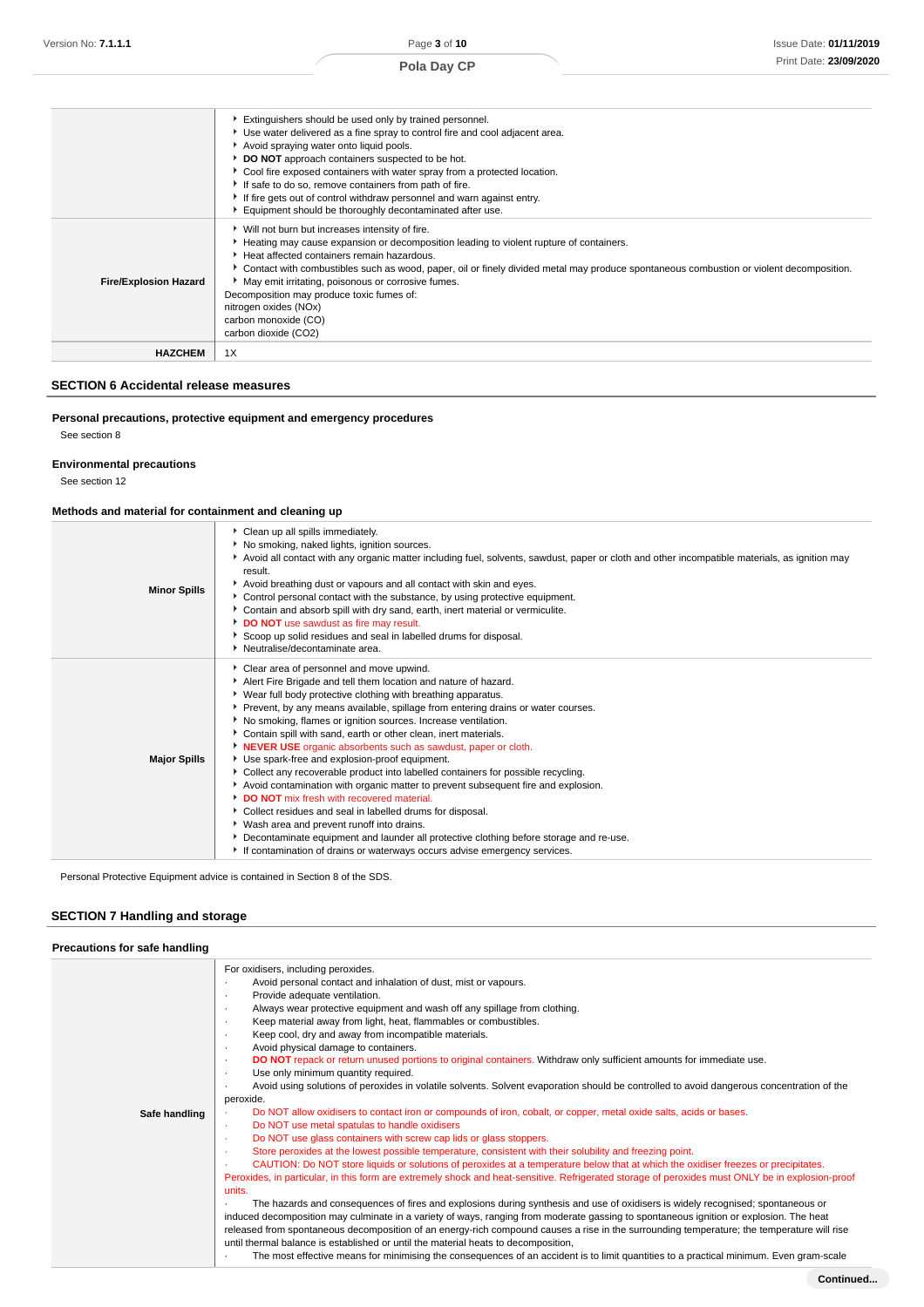|                              | Extinguishers should be used only by trained personnel.<br>▶ Use water delivered as a fine spray to control fire and cool adjacent area.<br>Avoid spraying water onto liquid pools.<br>DO NOT approach containers suspected to be hot.<br>Cool fire exposed containers with water spray from a protected location.<br>If safe to do so, remove containers from path of fire.<br>If fire gets out of control withdraw personnel and warn against entry.<br>Equipment should be thoroughly decontaminated after use.  |
|------------------------------|---------------------------------------------------------------------------------------------------------------------------------------------------------------------------------------------------------------------------------------------------------------------------------------------------------------------------------------------------------------------------------------------------------------------------------------------------------------------------------------------------------------------|
| <b>Fire/Explosion Hazard</b> | ▶ Will not burn but increases intensity of fire.<br>Heating may cause expansion or decomposition leading to violent rupture of containers.<br>Heat affected containers remain hazardous.<br>▶ Contact with combustibles such as wood, paper, oil or finely divided metal may produce spontaneous combustion or violent decomposition.<br>• May emit irritating, poisonous or corrosive fumes.<br>Decomposition may produce toxic fumes of:<br>nitrogen oxides (NOx)<br>carbon monoxide (CO)<br>carbon dioxide (CO2) |
| <b>HAZCHEM</b>               | 1X                                                                                                                                                                                                                                                                                                                                                                                                                                                                                                                  |

## **SECTION 6 Accidental release measures**

## **Personal precautions, protective equipment and emergency procedures**

See section 8

## **Environmental precautions**

See section 12

## **Methods and material for containment and cleaning up**

| <b>Minor Spills</b> | Clean up all spills immediately.<br>▶ No smoking, naked lights, ignition sources.<br>Avoid all contact with any organic matter including fuel, solvents, sawdust, paper or cloth and other incompatible materials, as ignition may<br>result.<br>Avoid breathing dust or vapours and all contact with skin and eyes.<br>Control personal contact with the substance, by using protective equipment.<br>▶ Contain and absorb spill with dry sand, earth, inert material or vermiculite.<br>DO NOT use sawdust as fire may result.<br>Scoop up solid residues and seal in labelled drums for disposal.<br>• Neutralise/decontaminate area.                                                                                                                                                                                                                                                                                                                                                                                                         |
|---------------------|--------------------------------------------------------------------------------------------------------------------------------------------------------------------------------------------------------------------------------------------------------------------------------------------------------------------------------------------------------------------------------------------------------------------------------------------------------------------------------------------------------------------------------------------------------------------------------------------------------------------------------------------------------------------------------------------------------------------------------------------------------------------------------------------------------------------------------------------------------------------------------------------------------------------------------------------------------------------------------------------------------------------------------------------------|
| <b>Major Spills</b> | Clear area of personnel and move upwind.<br>Alert Fire Brigade and tell them location and nature of hazard.<br>▶ Wear full body protective clothing with breathing apparatus.<br>Prevent, by any means available, spillage from entering drains or water courses.<br>No smoking, flames or ignition sources. Increase ventilation.<br>Contain spill with sand, earth or other clean, inert materials.<br><b>NEVER USE</b> organic absorbents such as sawdust, paper or cloth.<br>Use spark-free and explosion-proof equipment.<br>▶ Collect any recoverable product into labelled containers for possible recycling.<br>Avoid contamination with organic matter to prevent subsequent fire and explosion.<br><b>DO NOT</b> mix fresh with recovered material.<br>Collect residues and seal in labelled drums for disposal.<br>▶ Wash area and prevent runoff into drains.<br>Decontaminate equipment and launder all protective clothing before storage and re-use.<br>If contamination of drains or waterways occurs advise emergency services. |

Personal Protective Equipment advice is contained in Section 8 of the SDS.

## **SECTION 7 Handling and storage**

| Precautions for safe handling |                                                                                                                                                                                                                                                                                                                                                                                                                                                                                                                                                                                                                                                                                                                                                                                                                                                                                                                                                                                                                                                                                                                                                              |
|-------------------------------|--------------------------------------------------------------------------------------------------------------------------------------------------------------------------------------------------------------------------------------------------------------------------------------------------------------------------------------------------------------------------------------------------------------------------------------------------------------------------------------------------------------------------------------------------------------------------------------------------------------------------------------------------------------------------------------------------------------------------------------------------------------------------------------------------------------------------------------------------------------------------------------------------------------------------------------------------------------------------------------------------------------------------------------------------------------------------------------------------------------------------------------------------------------|
| Safe handling                 | For oxidisers, including peroxides.<br>Avoid personal contact and inhalation of dust, mist or vapours.<br>٠<br>Provide adequate ventilation.<br>٠<br>Always wear protective equipment and wash off any spillage from clothing.<br>$\cdot$<br>Keep material away from light, heat, flammables or combustibles.<br>٠<br>Keep cool, dry and away from incompatible materials.<br>$\cdot$<br>Avoid physical damage to containers.<br>$\cdot$<br>DO NOT repack or return unused portions to original containers. Withdraw only sufficient amounts for immediate use.<br>٠<br>Use only minimum quantity required.<br>٠<br>Avoid using solutions of peroxides in volatile solvents. Solvent evaporation should be controlled to avoid dangerous concentration of the<br>٠<br>peroxide.<br>Do NOT allow oxidisers to contact iron or compounds of iron, cobalt, or copper, metal oxide salts, acids or bases.<br>Do NOT use metal spatulas to handle oxidisers<br>×<br>Do NOT use glass containers with screw cap lids or glass stoppers.<br>٠<br>Store peroxides at the lowest possible temperature, consistent with their solubility and freezing point.<br>$\sim$ |
|                               | CAUTION: Do NOT store liquids or solutions of peroxides at a temperature below that at which the oxidiser freezes or precipitates.<br>٠<br>Peroxides, in particular, in this form are extremely shock and heat-sensitive. Refrigerated storage of peroxides must ONLY be in explosion-proof<br>units.<br>The hazards and consequences of fires and explosions during synthesis and use of oxidisers is widely recognised; spontaneous or<br>induced decomposition may culminate in a variety of ways, ranging from moderate gassing to spontaneous ignition or explosion. The heat<br>released from spontaneous decomposition of an energy-rich compound causes a rise in the surrounding temperature; the temperature will rise<br>until thermal balance is established or until the material heats to decomposition,<br>The most effective means for minimising the consequences of an accident is to limit quantities to a practical minimum. Even gram-scale<br>٠                                                                                                                                                                                        |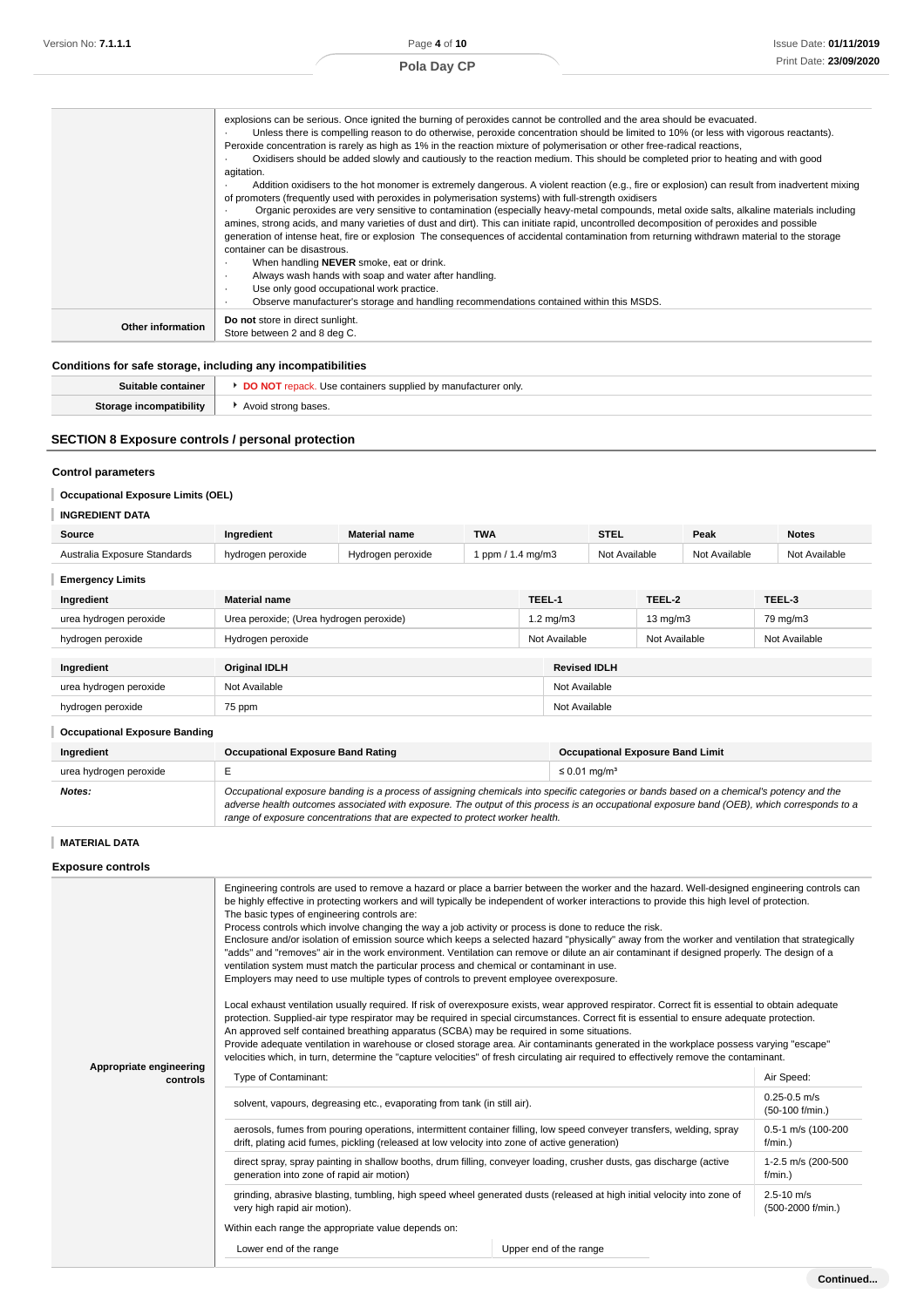|                   | explosions can be serious. Once ignited the burning of peroxides cannot be controlled and the area should be evacuated.<br>Unless there is compelling reason to do otherwise, peroxide concentration should be limited to 10% (or less with vigorous reactants).<br>Peroxide concentration is rarely as high as 1% in the reaction mixture of polymerisation or other free-radical reactions,<br>Oxidisers should be added slowly and cautiously to the reaction medium. This should be completed prior to heating and with good<br>agitation. |
|-------------------|------------------------------------------------------------------------------------------------------------------------------------------------------------------------------------------------------------------------------------------------------------------------------------------------------------------------------------------------------------------------------------------------------------------------------------------------------------------------------------------------------------------------------------------------|
|                   | Addition oxidisers to the hot monomer is extremely dangerous. A violent reaction (e.g., fire or explosion) can result from inadvertent mixing<br>of promoters (frequently used with peroxides in polymerisation systems) with full-strength oxidisers                                                                                                                                                                                                                                                                                          |
|                   | Organic peroxides are very sensitive to contamination (especially heavy-metal compounds, metal oxide salts, alkaline materials including<br>amines, strong acids, and many varieties of dust and dirt). This can initiate rapid, uncontrolled decomposition of peroxides and possible<br>generation of intense heat, fire or explosion The consequences of accidental contamination from returning withdrawn material to the storage                                                                                                           |
|                   | container can be disastrous.                                                                                                                                                                                                                                                                                                                                                                                                                                                                                                                   |
|                   | When handling <b>NEVER</b> smoke, eat or drink.<br>٠                                                                                                                                                                                                                                                                                                                                                                                                                                                                                           |
|                   | Always wash hands with soap and water after handling.<br>٠.<br>Use only good occupational work practice.<br>$\cdot$                                                                                                                                                                                                                                                                                                                                                                                                                            |
|                   | Observe manufacturer's storage and handling recommendations contained within this MSDS.<br>$\cdot$                                                                                                                                                                                                                                                                                                                                                                                                                                             |
| Other information | Do not store in direct sunlight.<br>Store between 2 and 8 deg C.                                                                                                                                                                                                                                                                                                                                                                                                                                                                               |

### **Conditions for safe storage, including any incompatibilities**

| Suitable container      | <b>DO NOT</b> repack. Use containers supplied by manufacturer only. |
|-------------------------|---------------------------------------------------------------------|
| Storage incompatibility | Avoid strong bases.                                                 |

## **SECTION 8 Exposure controls / personal protection**

## **Control parameters**

## **Occupational Exposure Limits (OEL)**

| <b>INGREDIENT DATA</b>       |                   |                      |                 |               |               |               |
|------------------------------|-------------------|----------------------|-----------------|---------------|---------------|---------------|
| Source                       | Ingredient        | <b>Material name</b> | <b>TWA</b>      | <b>STEL</b>   | Peak          | <b>Notes</b>  |
| Australia Exposure Standards | hydrogen peroxide | Hydrogen peroxide    | ppm / 1.4 mg/m3 | Not Available | Not Available | Not Available |
| <b>Emergency Limits</b>      |                   |                      |                 |               |               |               |

| Ingredient             | <b>Material name</b>                    | TEEL-1             |                     | TEEL-2            | TEEL-3        |
|------------------------|-----------------------------------------|--------------------|---------------------|-------------------|---------------|
| urea hydrogen peroxide | Urea peroxide; (Urea hydrogen peroxide) | $1.2 \text{ mg/m}$ |                     | $13 \text{ mg/m}$ | 79 mg/m3      |
| hydrogen peroxide      | Hydrogen peroxide                       | Not Available      |                     | Not Available     | Not Available |
|                        |                                         |                    |                     |                   |               |
| Ingredient             | <b>Original IDLH</b>                    |                    | <b>Revised IDLH</b> |                   |               |
| urea hydrogen peroxide | Not Available                           |                    | Not Available       |                   |               |
| hydrogen peroxide      | 75 ppm                                  |                    | Not Available       |                   |               |

| <b>Occupational Exposure Banding</b> |                                                                                                                                                                                                                                                                                                                                                                          |                                         |
|--------------------------------------|--------------------------------------------------------------------------------------------------------------------------------------------------------------------------------------------------------------------------------------------------------------------------------------------------------------------------------------------------------------------------|-----------------------------------------|
| Ingredient                           | <b>Occupational Exposure Band Rating</b>                                                                                                                                                                                                                                                                                                                                 | <b>Occupational Exposure Band Limit</b> |
| urea hydrogen peroxide               |                                                                                                                                                                                                                                                                                                                                                                          | $\leq 0.01$ mg/m <sup>3</sup>           |
| Notes:                               | Occupational exposure banding is a process of assigning chemicals into specific categories or bands based on a chemical's potency and the<br>adverse health outcomes associated with exposure. The output of this process is an occupational exposure band (OEB), which corresponds to a<br>range of exposure concentrations that are expected to protect worker health. |                                         |

# **MATERIAL DATA**

**Exposure controls**

|                                     | Engineering controls are used to remove a hazard or place a barrier between the worker and the hazard. Well-designed engineering controls can<br>be highly effective in protecting workers and will typically be independent of worker interactions to provide this high level of protection.<br>The basic types of engineering controls are:<br>Process controls which involve changing the way a job activity or process is done to reduce the risk.<br>Enclosure and/or isolation of emission source which keeps a selected hazard "physically" away from the worker and ventilation that strategically<br>"adds" and "removes" air in the work environment. Ventilation can remove or dilute an air contaminant if designed properly. The design of a<br>ventilation system must match the particular process and chemical or contaminant in use.<br>Employers may need to use multiple types of controls to prevent employee overexposure.<br>Local exhaust ventilation usually required. If risk of overexposure exists, wear approved respirator. Correct fit is essential to obtain adequate<br>protection. Supplied-air type respirator may be required in special circumstances. Correct fit is essential to ensure adequate protection.<br>An approved self contained breathing apparatus (SCBA) may be required in some situations.<br>Provide adequate ventilation in warehouse or closed storage area. Air contaminants generated in the workplace possess varying "escape"<br>velocities which, in turn, determine the "capture velocities" of fresh circulating air required to effectively remove the contaminant. |                        |                                     |  |  |
|-------------------------------------|-------------------------------------------------------------------------------------------------------------------------------------------------------------------------------------------------------------------------------------------------------------------------------------------------------------------------------------------------------------------------------------------------------------------------------------------------------------------------------------------------------------------------------------------------------------------------------------------------------------------------------------------------------------------------------------------------------------------------------------------------------------------------------------------------------------------------------------------------------------------------------------------------------------------------------------------------------------------------------------------------------------------------------------------------------------------------------------------------------------------------------------------------------------------------------------------------------------------------------------------------------------------------------------------------------------------------------------------------------------------------------------------------------------------------------------------------------------------------------------------------------------------------------------------------------------------------------------------------------------------------------------|------------------------|-------------------------------------|--|--|
| Appropriate engineering<br>controls | Type of Contaminant:                                                                                                                                                                                                                                                                                                                                                                                                                                                                                                                                                                                                                                                                                                                                                                                                                                                                                                                                                                                                                                                                                                                                                                                                                                                                                                                                                                                                                                                                                                                                                                                                                |                        | Air Speed:                          |  |  |
|                                     | solvent, vapours, degreasing etc., evaporating from tank (in still air).                                                                                                                                                                                                                                                                                                                                                                                                                                                                                                                                                                                                                                                                                                                                                                                                                                                                                                                                                                                                                                                                                                                                                                                                                                                                                                                                                                                                                                                                                                                                                            |                        | $0.25 - 0.5$ m/s<br>(50-100 f/min.) |  |  |
|                                     | aerosols, fumes from pouring operations, intermittent container filling, low speed conveyer transfers, welding, spray<br>drift, plating acid fumes, pickling (released at low velocity into zone of active generation)                                                                                                                                                                                                                                                                                                                                                                                                                                                                                                                                                                                                                                                                                                                                                                                                                                                                                                                                                                                                                                                                                                                                                                                                                                                                                                                                                                                                              |                        | 0.5-1 m/s (100-200<br>$f/min.$ )    |  |  |
|                                     | direct spray, spray painting in shallow booths, drum filling, conveyer loading, crusher dusts, gas discharge (active<br>generation into zone of rapid air motion)                                                                                                                                                                                                                                                                                                                                                                                                                                                                                                                                                                                                                                                                                                                                                                                                                                                                                                                                                                                                                                                                                                                                                                                                                                                                                                                                                                                                                                                                   |                        | 1-2.5 m/s (200-500<br>$f/min.$ )    |  |  |
|                                     | grinding, abrasive blasting, tumbling, high speed wheel generated dusts (released at high initial velocity into zone of<br>very high rapid air motion).                                                                                                                                                                                                                                                                                                                                                                                                                                                                                                                                                                                                                                                                                                                                                                                                                                                                                                                                                                                                                                                                                                                                                                                                                                                                                                                                                                                                                                                                             |                        | $2.5 - 10$ m/s<br>(500-2000 f/min.) |  |  |
|                                     | Within each range the appropriate value depends on:                                                                                                                                                                                                                                                                                                                                                                                                                                                                                                                                                                                                                                                                                                                                                                                                                                                                                                                                                                                                                                                                                                                                                                                                                                                                                                                                                                                                                                                                                                                                                                                 |                        |                                     |  |  |
|                                     | Lower end of the range                                                                                                                                                                                                                                                                                                                                                                                                                                                                                                                                                                                                                                                                                                                                                                                                                                                                                                                                                                                                                                                                                                                                                                                                                                                                                                                                                                                                                                                                                                                                                                                                              | Upper end of the range |                                     |  |  |
|                                     |                                                                                                                                                                                                                                                                                                                                                                                                                                                                                                                                                                                                                                                                                                                                                                                                                                                                                                                                                                                                                                                                                                                                                                                                                                                                                                                                                                                                                                                                                                                                                                                                                                     |                        |                                     |  |  |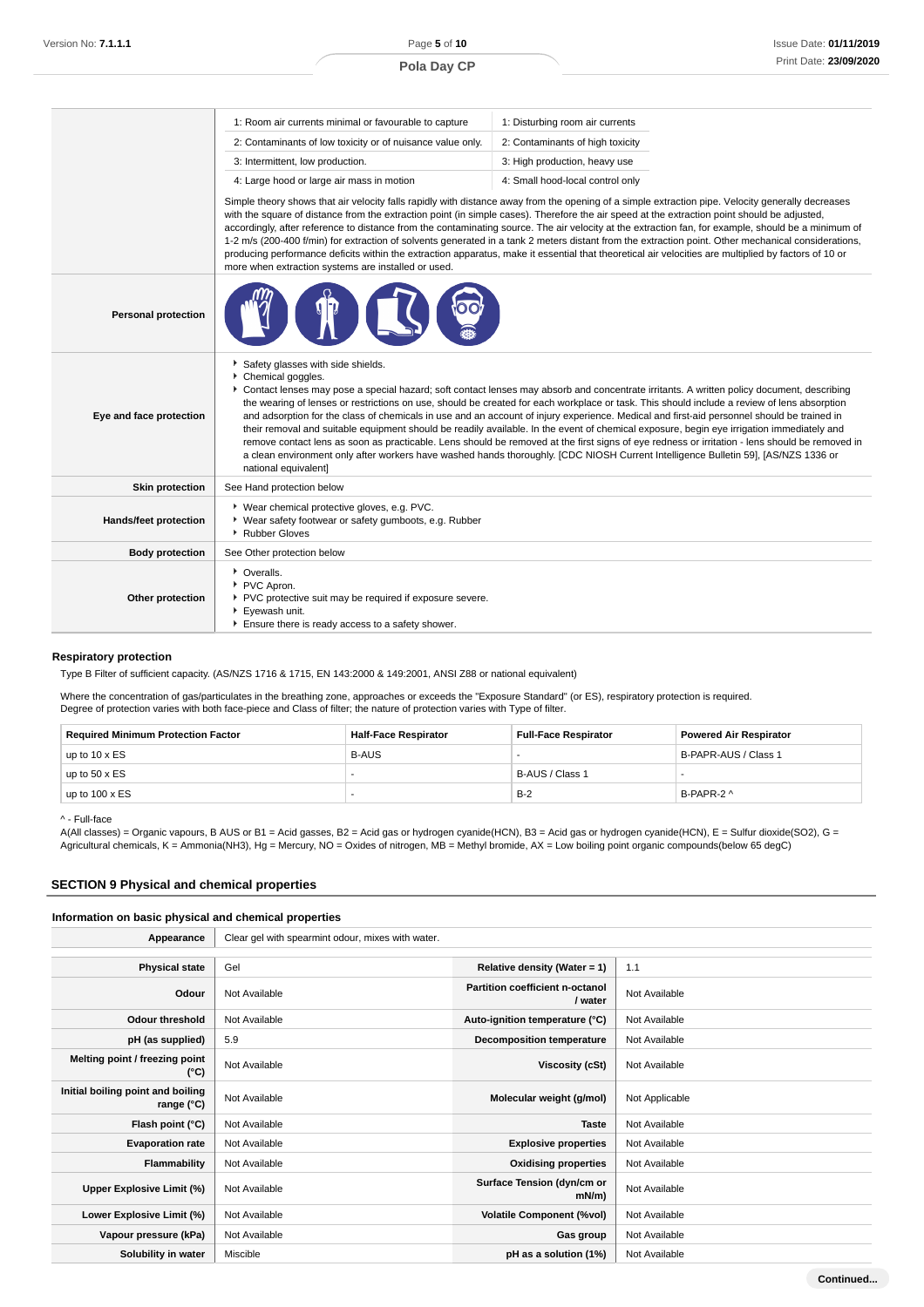|                            | 1: Room air currents minimal or favourable to capture                                                                                                                                                                                                                                                                                                                                                                                                                                                                                                                                                                                                                                                                                                                                                                                                                                                                                                         | 1: Disturbing room air currents  |  |  |  |
|----------------------------|---------------------------------------------------------------------------------------------------------------------------------------------------------------------------------------------------------------------------------------------------------------------------------------------------------------------------------------------------------------------------------------------------------------------------------------------------------------------------------------------------------------------------------------------------------------------------------------------------------------------------------------------------------------------------------------------------------------------------------------------------------------------------------------------------------------------------------------------------------------------------------------------------------------------------------------------------------------|----------------------------------|--|--|--|
|                            | 2: Contaminants of low toxicity or of nuisance value only.<br>2: Contaminants of high toxicity<br>3: Intermittent, low production.<br>3: High production, heavy use                                                                                                                                                                                                                                                                                                                                                                                                                                                                                                                                                                                                                                                                                                                                                                                           |                                  |  |  |  |
|                            |                                                                                                                                                                                                                                                                                                                                                                                                                                                                                                                                                                                                                                                                                                                                                                                                                                                                                                                                                               |                                  |  |  |  |
|                            | 4: Large hood or large air mass in motion                                                                                                                                                                                                                                                                                                                                                                                                                                                                                                                                                                                                                                                                                                                                                                                                                                                                                                                     | 4: Small hood-local control only |  |  |  |
|                            | Simple theory shows that air velocity falls rapidly with distance away from the opening of a simple extraction pipe. Velocity generally decreases<br>with the square of distance from the extraction point (in simple cases). Therefore the air speed at the extraction point should be adjusted,<br>accordingly, after reference to distance from the contaminating source. The air velocity at the extraction fan, for example, should be a minimum of<br>1-2 m/s (200-400 f/min) for extraction of solvents generated in a tank 2 meters distant from the extraction point. Other mechanical considerations,<br>producing performance deficits within the extraction apparatus, make it essential that theoretical air velocities are multiplied by factors of 10 or<br>more when extraction systems are installed or used.                                                                                                                                |                                  |  |  |  |
| <b>Personal protection</b> |                                                                                                                                                                                                                                                                                                                                                                                                                                                                                                                                                                                                                                                                                                                                                                                                                                                                                                                                                               |                                  |  |  |  |
| Eye and face protection    | Safety glasses with side shields.<br>Chemical goggles.<br>Contact lenses may pose a special hazard; soft contact lenses may absorb and concentrate irritants. A written policy document, describing<br>the wearing of lenses or restrictions on use, should be created for each workplace or task. This should include a review of lens absorption<br>and adsorption for the class of chemicals in use and an account of injury experience. Medical and first-aid personnel should be trained in<br>their removal and suitable equipment should be readily available. In the event of chemical exposure, begin eye irrigation immediately and<br>remove contact lens as soon as practicable. Lens should be removed at the first signs of eye redness or irritation - lens should be removed in<br>a clean environment only after workers have washed hands thoroughly. [CDC NIOSH Current Intelligence Bulletin 59], [AS/NZS 1336 or<br>national equivalent] |                                  |  |  |  |
| <b>Skin protection</b>     | See Hand protection below                                                                                                                                                                                                                                                                                                                                                                                                                                                                                                                                                                                                                                                                                                                                                                                                                                                                                                                                     |                                  |  |  |  |
| Hands/feet protection      | * Wear chemical protective gloves, e.g. PVC.<br>▶ Wear safety footwear or safety gumboots, e.g. Rubber<br>▶ Rubber Gloves                                                                                                                                                                                                                                                                                                                                                                                                                                                                                                                                                                                                                                                                                                                                                                                                                                     |                                  |  |  |  |
| <b>Body protection</b>     | See Other protection below                                                                                                                                                                                                                                                                                                                                                                                                                                                                                                                                                                                                                                                                                                                                                                                                                                                                                                                                    |                                  |  |  |  |
| Other protection           | • Overalls.<br>PVC Apron.<br>PVC protective suit may be required if exposure severe.<br>Eyewash unit.<br>Ensure there is ready access to a safety shower.                                                                                                                                                                                                                                                                                                                                                                                                                                                                                                                                                                                                                                                                                                                                                                                                     |                                  |  |  |  |

### **Respiratory protection**

Type B Filter of sufficient capacity. (AS/NZS 1716 & 1715, EN 143:2000 & 149:2001, ANSI Z88 or national equivalent)

Where the concentration of gas/particulates in the breathing zone, approaches or exceeds the "Exposure Standard" (or ES), respiratory protection is required. Degree of protection varies with both face-piece and Class of filter; the nature of protection varies with Type of filter.

| <b>Required Minimum Protection Factor</b> | <b>Half-Face Respirator</b> | <b>Full-Face Respirator</b> | <b>Powered Air Respirator</b> |
|-------------------------------------------|-----------------------------|-----------------------------|-------------------------------|
| up to $10 \times ES$                      | <b>B-AUS</b>                |                             | B-PAPR-AUS / Class 1          |
| up to $50 \times ES$                      |                             | B-AUS / Class 1             |                               |
| up to $100 \times ES$                     |                             | $B-2$                       | B-PAPR-2 ^                    |

^ - Full-face

A(All classes) = Organic vapours, B AUS or B1 = Acid gasses, B2 = Acid gas or hydrogen cyanide(HCN), B3 = Acid gas or hydrogen cyanide(HCN), E = Sulfur dioxide(SO2), G = Agricultural chemicals, K = Ammonia(NH3), Hg = Mercury, NO = Oxides of nitrogen, MB = Methyl bromide, AX = Low boiling point organic compounds(below 65 degC)

### **SECTION 9 Physical and chemical properties**

#### **Information on basic physical and chemical properties**

| Appearance                                      | Clear gel with spearmint odour, mixes with water. |                                            |                |
|-------------------------------------------------|---------------------------------------------------|--------------------------------------------|----------------|
|                                                 |                                                   |                                            |                |
| <b>Physical state</b>                           | Gel                                               | Relative density (Water = 1)               | 1.1            |
| Odour                                           | Not Available                                     | Partition coefficient n-octanol<br>/ water | Not Available  |
| <b>Odour threshold</b>                          | Not Available                                     | Auto-ignition temperature (°C)             | Not Available  |
| pH (as supplied)                                | 5.9                                               | <b>Decomposition temperature</b>           | Not Available  |
| Melting point / freezing point<br>(°C)          | Not Available                                     | Viscosity (cSt)                            | Not Available  |
| Initial boiling point and boiling<br>range (°C) | Not Available                                     | Molecular weight (g/mol)                   | Not Applicable |
| Flash point (°C)                                | Not Available                                     | <b>Taste</b>                               | Not Available  |
| <b>Evaporation rate</b>                         | Not Available                                     | <b>Explosive properties</b>                | Not Available  |
| Flammability                                    | Not Available                                     | <b>Oxidising properties</b>                | Not Available  |
| Upper Explosive Limit (%)                       | Not Available                                     | Surface Tension (dyn/cm or<br>$mN/m$ )     | Not Available  |
| Lower Explosive Limit (%)                       | Not Available                                     | <b>Volatile Component (%vol)</b>           | Not Available  |
| Vapour pressure (kPa)                           | Not Available                                     | Gas group                                  | Not Available  |
| Solubility in water                             | Miscible                                          | pH as a solution (1%)                      | Not Available  |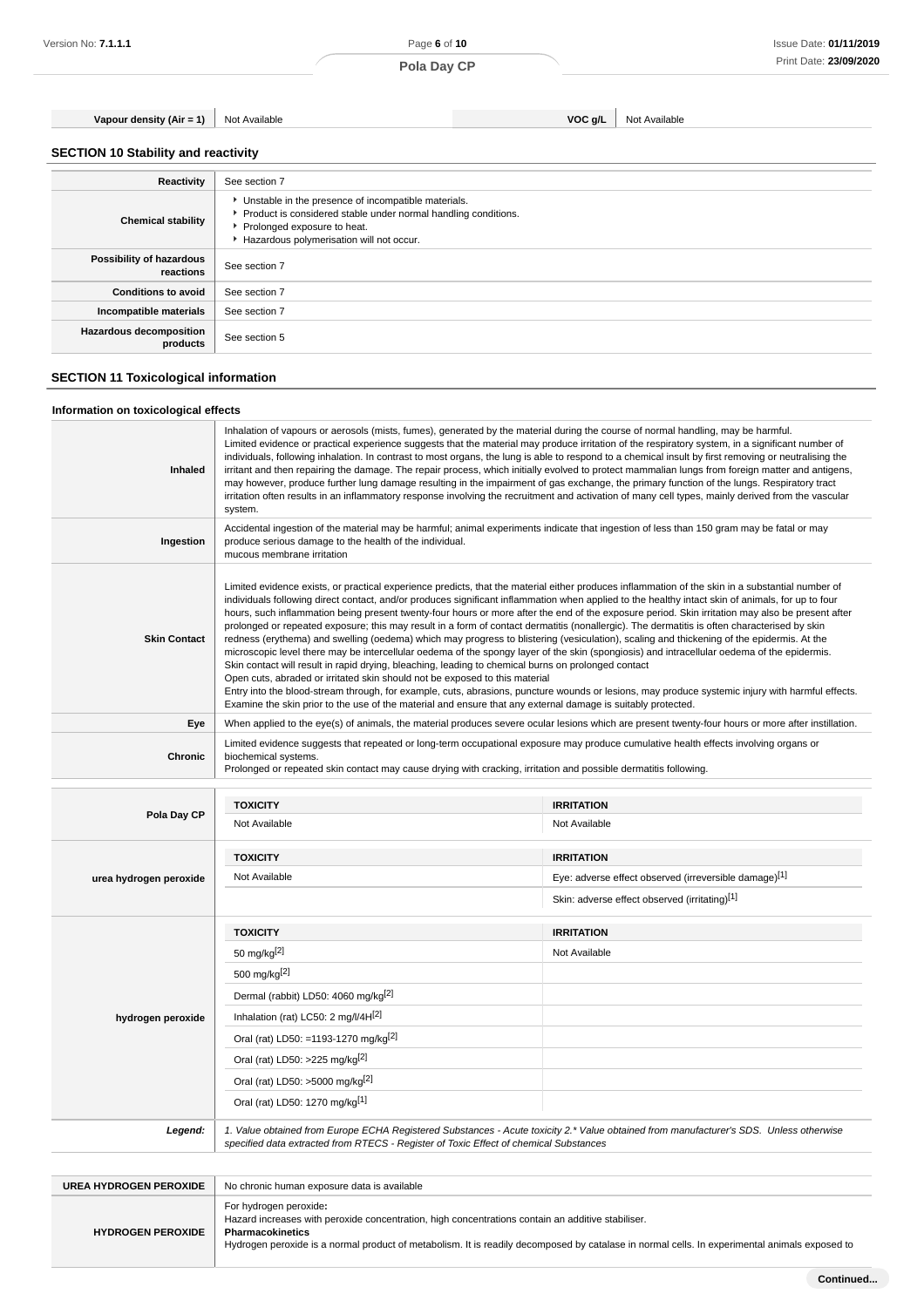**Vapour density (Air = 1)** Not Available **VOC g/L** Not Available

## **SECTION 10 Stability and reactivity**

| Reactivity                                 | See section 7                                                                                                                                                                                      |
|--------------------------------------------|----------------------------------------------------------------------------------------------------------------------------------------------------------------------------------------------------|
| <b>Chemical stability</b>                  | • Unstable in the presence of incompatible materials.<br>Product is considered stable under normal handling conditions.<br>Prolonged exposure to heat.<br>Hazardous polymerisation will not occur. |
| Possibility of hazardous<br>reactions      | See section 7                                                                                                                                                                                      |
| <b>Conditions to avoid</b>                 | See section 7                                                                                                                                                                                      |
| Incompatible materials                     | See section 7                                                                                                                                                                                      |
| <b>Hazardous decomposition</b><br>products | See section 5                                                                                                                                                                                      |
|                                            |                                                                                                                                                                                                    |

## **SECTION 11 Toxicological information**

## **Information on toxicological effects**

| <b>Inhaled</b>      | Inhalation of vapours or aerosols (mists, fumes), generated by the material during the course of normal handling, may be harmful.<br>Limited evidence or practical experience suggests that the material may produce irritation of the respiratory system, in a significant number of<br>individuals, following inhalation. In contrast to most organs, the lung is able to respond to a chemical insult by first removing or neutralising the<br>irritant and then repairing the damage. The repair process, which initially evolved to protect mammalian lungs from foreign matter and antigens,<br>may however, produce further lung damage resulting in the impairment of gas exchange, the primary function of the lungs. Respiratory tract<br>irritation often results in an inflammatory response involving the recruitment and activation of many cell types, mainly derived from the vascular<br>system.                                                                                                                                                                                                                                                                                                                                                                                                                                               |
|---------------------|-----------------------------------------------------------------------------------------------------------------------------------------------------------------------------------------------------------------------------------------------------------------------------------------------------------------------------------------------------------------------------------------------------------------------------------------------------------------------------------------------------------------------------------------------------------------------------------------------------------------------------------------------------------------------------------------------------------------------------------------------------------------------------------------------------------------------------------------------------------------------------------------------------------------------------------------------------------------------------------------------------------------------------------------------------------------------------------------------------------------------------------------------------------------------------------------------------------------------------------------------------------------------------------------------------------------------------------------------------------------|
| Ingestion           | Accidental ingestion of the material may be harmful; animal experiments indicate that ingestion of less than 150 gram may be fatal or may<br>produce serious damage to the health of the individual.<br>mucous membrane irritation                                                                                                                                                                                                                                                                                                                                                                                                                                                                                                                                                                                                                                                                                                                                                                                                                                                                                                                                                                                                                                                                                                                              |
| <b>Skin Contact</b> | Limited evidence exists, or practical experience predicts, that the material either produces inflammation of the skin in a substantial number of<br>individuals following direct contact, and/or produces significant inflammation when applied to the healthy intact skin of animals, for up to four<br>hours, such inflammation being present twenty-four hours or more after the end of the exposure period. Skin irritation may also be present after<br>prolonged or repeated exposure; this may result in a form of contact dermatitis (nonallergic). The dermatitis is often characterised by skin<br>redness (erythema) and swelling (oedema) which may progress to blistering (vesiculation), scaling and thickening of the epidermis. At the<br>microscopic level there may be intercellular oedema of the spongy layer of the skin (spongiosis) and intracellular oedema of the epidermis.<br>Skin contact will result in rapid drying, bleaching, leading to chemical burns on prolonged contact<br>Open cuts, abraded or irritated skin should not be exposed to this material<br>Entry into the blood-stream through, for example, cuts, abrasions, puncture wounds or lesions, may produce systemic injury with harmful effects.<br>Examine the skin prior to the use of the material and ensure that any external damage is suitably protected. |
| Eye                 | When applied to the eye(s) of animals, the material produces severe ocular lesions which are present twenty-four hours or more after instillation.                                                                                                                                                                                                                                                                                                                                                                                                                                                                                                                                                                                                                                                                                                                                                                                                                                                                                                                                                                                                                                                                                                                                                                                                              |
| Chronic             | Limited evidence suggests that repeated or long-term occupational exposure may produce cumulative health effects involving organs or<br>biochemical systems.<br>Prolonged or repeated skin contact may cause drying with cracking, irritation and possible dermatitis following.                                                                                                                                                                                                                                                                                                                                                                                                                                                                                                                                                                                                                                                                                                                                                                                                                                                                                                                                                                                                                                                                                |
|                     |                                                                                                                                                                                                                                                                                                                                                                                                                                                                                                                                                                                                                                                                                                                                                                                                                                                                                                                                                                                                                                                                                                                                                                                                                                                                                                                                                                 |

|                        | <b>TOXICITY</b>                                                                                                                                                                                                                 | <b>IRRITATION</b>                                     |
|------------------------|---------------------------------------------------------------------------------------------------------------------------------------------------------------------------------------------------------------------------------|-------------------------------------------------------|
| Pola Day CP            | Not Available                                                                                                                                                                                                                   | Not Available                                         |
|                        | <b>TOXICITY</b>                                                                                                                                                                                                                 | <b>IRRITATION</b>                                     |
| urea hydrogen peroxide | Not Available                                                                                                                                                                                                                   | Eye: adverse effect observed (irreversible damage)[1] |
|                        |                                                                                                                                                                                                                                 | Skin: adverse effect observed (irritating)[1]         |
|                        | <b>TOXICITY</b>                                                                                                                                                                                                                 | <b>IRRITATION</b>                                     |
|                        | 50 mg/kg <sup>[2]</sup>                                                                                                                                                                                                         | Not Available                                         |
|                        | 500 mg/kg <sup>[2]</sup>                                                                                                                                                                                                        |                                                       |
|                        | Dermal (rabbit) LD50: 4060 mg/kg <sup>[2]</sup>                                                                                                                                                                                 |                                                       |
| hydrogen peroxide      | Inhalation (rat) LC50: 2 mg/l/4H[2]                                                                                                                                                                                             |                                                       |
|                        | Oral (rat) LD50: =1193-1270 mg/kg <sup>[2]</sup>                                                                                                                                                                                |                                                       |
|                        | Oral (rat) LD50: >225 mg/kg <sup>[2]</sup>                                                                                                                                                                                      |                                                       |
|                        | Oral (rat) LD50: >5000 mg/kg[2]                                                                                                                                                                                                 |                                                       |
|                        | Oral (rat) LD50: 1270 mg/kg[1]                                                                                                                                                                                                  |                                                       |
| Legend:                | 1. Value obtained from Europe ECHA Registered Substances - Acute toxicity 2.* Value obtained from manufacturer's SDS. Unless otherwise<br>specified data extracted from RTECS - Register of Toxic Effect of chemical Substances |                                                       |
|                        |                                                                                                                                                                                                                                 |                                                       |

| UREA HYDROGEN PEROXIDE   | No chronic human exposure data is available                                                                                                                                                                                                                                                      |
|--------------------------|--------------------------------------------------------------------------------------------------------------------------------------------------------------------------------------------------------------------------------------------------------------------------------------------------|
| <b>HYDROGEN PEROXIDE</b> | For hydrogen peroxide:<br>Hazard increases with peroxide concentration, high concentrations contain an additive stabiliser.<br>Pharmacokinetics<br>Hydrogen peroxide is a normal product of metabolism. It is readily decomposed by catalase in normal cells. In experimental animals exposed to |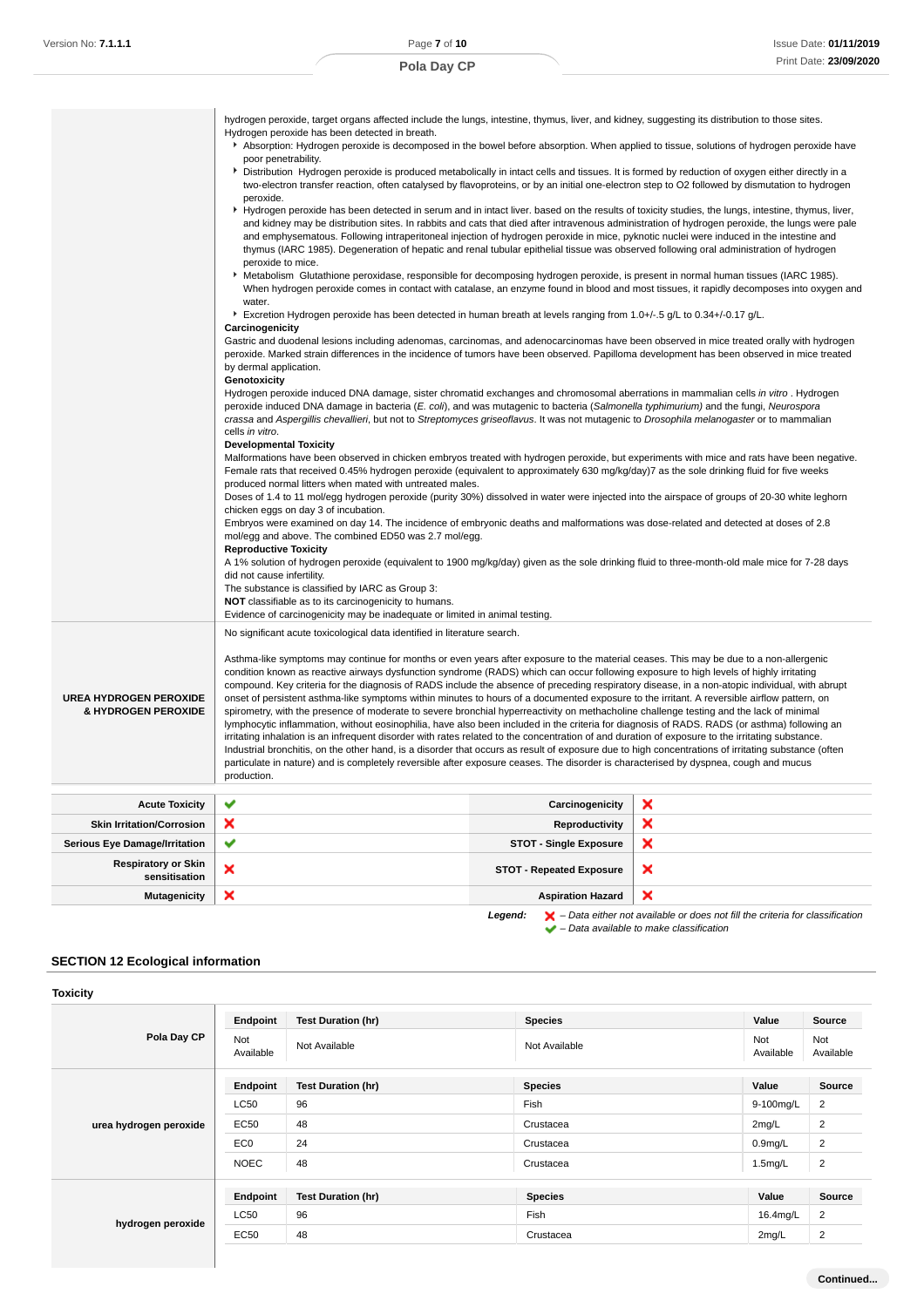|                                                      | hydrogen peroxide, target organs affected include the lungs, intestine, thymus, liver, and kidney, suggesting its distribution to those sites.<br>Hydrogen peroxide has been detected in breath.<br>Absorption: Hydrogen peroxide is decomposed in the bowel before absorption. When applied to tissue, solutions of hydrogen peroxide have<br>poor penetrability.<br>Distribution Hydrogen peroxide is produced metabolically in intact cells and tissues. It is formed by reduction of oxygen either directly in a<br>two-electron transfer reaction, often catalysed by flavoproteins, or by an initial one-electron step to O2 followed by dismutation to hydrogen<br>peroxide.<br>▶ Hydrogen peroxide has been detected in serum and in intact liver. based on the results of toxicity studies, the lungs, intestine, thymus, liver,<br>and kidney may be distribution sites. In rabbits and cats that died after intravenous administration of hydrogen peroxide, the lungs were pale<br>and emphysematous. Following intraperitoneal injection of hydrogen peroxide in mice, pyknotic nuclei were induced in the intestine and<br>thymus (IARC 1985). Degeneration of hepatic and renal tubular epithelial tissue was observed following oral administration of hydrogen<br>peroxide to mice.<br>▶ Metabolism Glutathione peroxidase, responsible for decomposing hydrogen peroxide, is present in normal human tissues (IARC 1985).<br>water.<br>Excretion Hydrogen peroxide has been detected in human breath at levels ranging from 1.0+/-.5 g/L to 0.34+/-0.17 g/L.<br>Carcinogenicity<br>Gastric and duodenal lesions including adenomas, carcinomas, and adenocarcinomas have been observed in mice treated orally with hydrogen<br>peroxide. Marked strain differences in the incidence of tumors have been observed. Papilloma development has been observed in mice treated<br>by dermal application.<br>Genotoxicity<br>Hydrogen peroxide induced DNA damage, sister chromatid exchanges and chromosomal aberrations in mammalian cells in vitro. Hydrogen<br>peroxide induced DNA damage in bacteria (E. coli), and was mutagenic to bacteria (Salmonella typhimurium) and the fungi, Neurospora<br>crassa and Aspergillis chevallieri, but not to Streptomyces griseoflavus. It was not mutagenic to Drosophila melanogaster or to mammalian<br>cells in vitro.<br><b>Developmental Toxicity</b><br>Malformations have been observed in chicken embryos treated with hydrogen peroxide, but experiments with mice and rats have been negative.<br>Female rats that received 0.45% hydrogen peroxide (equivalent to approximately 630 mg/kg/day)7 as the sole drinking fluid for five weeks<br>produced normal litters when mated with untreated males.<br>Doses of 1.4 to 11 mol/egg hydrogen peroxide (purity 30%) dissolved in water were injected into the airspace of groups of 20-30 white leghorn<br>chicken eggs on day 3 of incubation.<br>Embryos were examined on day 14. The incidence of embryonic deaths and malformations was dose-related and detected at doses of 2.8<br>mol/egg and above. The combined ED50 was 2.7 mol/egg.<br><b>Reproductive Toxicity</b><br>A 1% solution of hydrogen peroxide (equivalent to 1900 mg/kg/day) given as the sole drinking fluid to three-month-old male mice for 7-28 days<br>did not cause infertility.<br>The substance is classified by IARC as Group 3: |                                 | When hydrogen peroxide comes in contact with catalase, an enzyme found in blood and most tissues, it rapidly decomposes into oxygen and |
|------------------------------------------------------|-------------------------------------------------------------------------------------------------------------------------------------------------------------------------------------------------------------------------------------------------------------------------------------------------------------------------------------------------------------------------------------------------------------------------------------------------------------------------------------------------------------------------------------------------------------------------------------------------------------------------------------------------------------------------------------------------------------------------------------------------------------------------------------------------------------------------------------------------------------------------------------------------------------------------------------------------------------------------------------------------------------------------------------------------------------------------------------------------------------------------------------------------------------------------------------------------------------------------------------------------------------------------------------------------------------------------------------------------------------------------------------------------------------------------------------------------------------------------------------------------------------------------------------------------------------------------------------------------------------------------------------------------------------------------------------------------------------------------------------------------------------------------------------------------------------------------------------------------------------------------------------------------------------------------------------------------------------------------------------------------------------------------------------------------------------------------------------------------------------------------------------------------------------------------------------------------------------------------------------------------------------------------------------------------------------------------------------------------------------------------------------------------------------------------------------------------------------------------------------------------------------------------------------------------------------------------------------------------------------------------------------------------------------------------------------------------------------------------------------------------------------------------------------------------------------------------------------------------------------------------------------------------------------------------------------------------------------------------------------------------------------------------------------------------------------------------------------------------------------------------------------------------------------------------------------------------------------------------------------------------------------------------------------------------------------------------------------------------------------------------------------------------------------------------------------|---------------------------------|-----------------------------------------------------------------------------------------------------------------------------------------|
|                                                      | <b>NOT</b> classifiable as to its carcinogenicity to humans.                                                                                                                                                                                                                                                                                                                                                                                                                                                                                                                                                                                                                                                                                                                                                                                                                                                                                                                                                                                                                                                                                                                                                                                                                                                                                                                                                                                                                                                                                                                                                                                                                                                                                                                                                                                                                                                                                                                                                                                                                                                                                                                                                                                                                                                                                                                                                                                                                                                                                                                                                                                                                                                                                                                                                                                                                                                                                                                                                                                                                                                                                                                                                                                                                                                                                                                                                                        |                                 |                                                                                                                                         |
|                                                      | Evidence of carcinogenicity may be inadequate or limited in animal testing.<br>No significant acute toxicological data identified in literature search.                                                                                                                                                                                                                                                                                                                                                                                                                                                                                                                                                                                                                                                                                                                                                                                                                                                                                                                                                                                                                                                                                                                                                                                                                                                                                                                                                                                                                                                                                                                                                                                                                                                                                                                                                                                                                                                                                                                                                                                                                                                                                                                                                                                                                                                                                                                                                                                                                                                                                                                                                                                                                                                                                                                                                                                                                                                                                                                                                                                                                                                                                                                                                                                                                                                                             |                                 |                                                                                                                                         |
| <b>UREA HYDROGEN PEROXIDE</b><br>& HYDROGEN PEROXIDE | Asthma-like symptoms may continue for months or even years after exposure to the material ceases. This may be due to a non-allergenic<br>condition known as reactive airways dysfunction syndrome (RADS) which can occur following exposure to high levels of highly irritating<br>compound. Key criteria for the diagnosis of RADS include the absence of preceding respiratory disease, in a non-atopic individual, with abrupt<br>onset of persistent asthma-like symptoms within minutes to hours of a documented exposure to the irritant. A reversible airflow pattern, on<br>spirometry, with the presence of moderate to severe bronchial hyperreactivity on methacholine challenge testing and the lack of minimal<br>lymphocytic inflammation, without eosinophilia, have also been included in the criteria for diagnosis of RADS. RADS (or asthma) following an<br>irritating inhalation is an infrequent disorder with rates related to the concentration of and duration of exposure to the irritating substance.<br>Industrial bronchitis, on the other hand, is a disorder that occurs as result of exposure due to high concentrations of irritating substance (often<br>particulate in nature) and is completely reversible after exposure ceases. The disorder is characterised by dyspnea, cough and mucus<br>production.                                                                                                                                                                                                                                                                                                                                                                                                                                                                                                                                                                                                                                                                                                                                                                                                                                                                                                                                                                                                                                                                                                                                                                                                                                                                                                                                                                                                                                                                                                                                                                                                                                                                                                                                                                                                                                                                                                                                                                                                                                                                                       |                                 |                                                                                                                                         |
| <b>Acute Toxicity</b>                                | ✔                                                                                                                                                                                                                                                                                                                                                                                                                                                                                                                                                                                                                                                                                                                                                                                                                                                                                                                                                                                                                                                                                                                                                                                                                                                                                                                                                                                                                                                                                                                                                                                                                                                                                                                                                                                                                                                                                                                                                                                                                                                                                                                                                                                                                                                                                                                                                                                                                                                                                                                                                                                                                                                                                                                                                                                                                                                                                                                                                                                                                                                                                                                                                                                                                                                                                                                                                                                                                                   | Carcinogenicity                 | ×                                                                                                                                       |
| <b>Skin Irritation/Corrosion</b>                     | ×                                                                                                                                                                                                                                                                                                                                                                                                                                                                                                                                                                                                                                                                                                                                                                                                                                                                                                                                                                                                                                                                                                                                                                                                                                                                                                                                                                                                                                                                                                                                                                                                                                                                                                                                                                                                                                                                                                                                                                                                                                                                                                                                                                                                                                                                                                                                                                                                                                                                                                                                                                                                                                                                                                                                                                                                                                                                                                                                                                                                                                                                                                                                                                                                                                                                                                                                                                                                                                   | Reproductivity                  | ×                                                                                                                                       |
| Serious Eye Damage/Irritation                        | ✔                                                                                                                                                                                                                                                                                                                                                                                                                                                                                                                                                                                                                                                                                                                                                                                                                                                                                                                                                                                                                                                                                                                                                                                                                                                                                                                                                                                                                                                                                                                                                                                                                                                                                                                                                                                                                                                                                                                                                                                                                                                                                                                                                                                                                                                                                                                                                                                                                                                                                                                                                                                                                                                                                                                                                                                                                                                                                                                                                                                                                                                                                                                                                                                                                                                                                                                                                                                                                                   | <b>STOT - Single Exposure</b>   | ×                                                                                                                                       |
| <b>Respiratory or Skin</b><br>sensitisation          | ×                                                                                                                                                                                                                                                                                                                                                                                                                                                                                                                                                                                                                                                                                                                                                                                                                                                                                                                                                                                                                                                                                                                                                                                                                                                                                                                                                                                                                                                                                                                                                                                                                                                                                                                                                                                                                                                                                                                                                                                                                                                                                                                                                                                                                                                                                                                                                                                                                                                                                                                                                                                                                                                                                                                                                                                                                                                                                                                                                                                                                                                                                                                                                                                                                                                                                                                                                                                                                                   | <b>STOT - Repeated Exposure</b> | ×                                                                                                                                       |

## **SECTION 12 Ecological information**

| <b>Toxicity</b>        |                  |                           |                |                  |                  |
|------------------------|------------------|---------------------------|----------------|------------------|------------------|
|                        | Endpoint         | <b>Test Duration (hr)</b> | <b>Species</b> | Value            | <b>Source</b>    |
| Pola Day CP            | Not<br>Available | Not Available             | Not Available  | Not<br>Available | Not<br>Available |
|                        | Endpoint         | <b>Test Duration (hr)</b> | <b>Species</b> | Value            | Source           |
|                        | <b>LC50</b>      | 96                        | Fish           | 9-100mg/L        | $\overline{2}$   |
| urea hydrogen peroxide | <b>EC50</b>      | 48                        | Crustacea      | $2$ mg/L         | 2                |
|                        | EC <sub>0</sub>  | 24                        | Crustacea      | $0.9$ mg/L       | $\overline{2}$   |
|                        | <b>NOEC</b>      | 48                        | Crustacea      | $1.5$ mg/L       | $\overline{2}$   |
|                        | Endpoint         | <b>Test Duration (hr)</b> | <b>Species</b> | Value            | Source           |
|                        | <b>LC50</b>      | 96                        | Fish           | 16.4mg/L         | 2                |
| hydrogen peroxide      | <b>EC50</b>      | 48                        | Crustacea      | 2mg/L            | 2                |
|                        |                  |                           |                |                  |                  |

**Mutagenicity X** Aspiration Hazard

**Continued...**

 $\equiv$ 

**Legend:**  $\mathbf{X}$  – Data either not available or does not fill the criteria for classification

– Data available to make classification

 $\overline{\mathbf{x}}$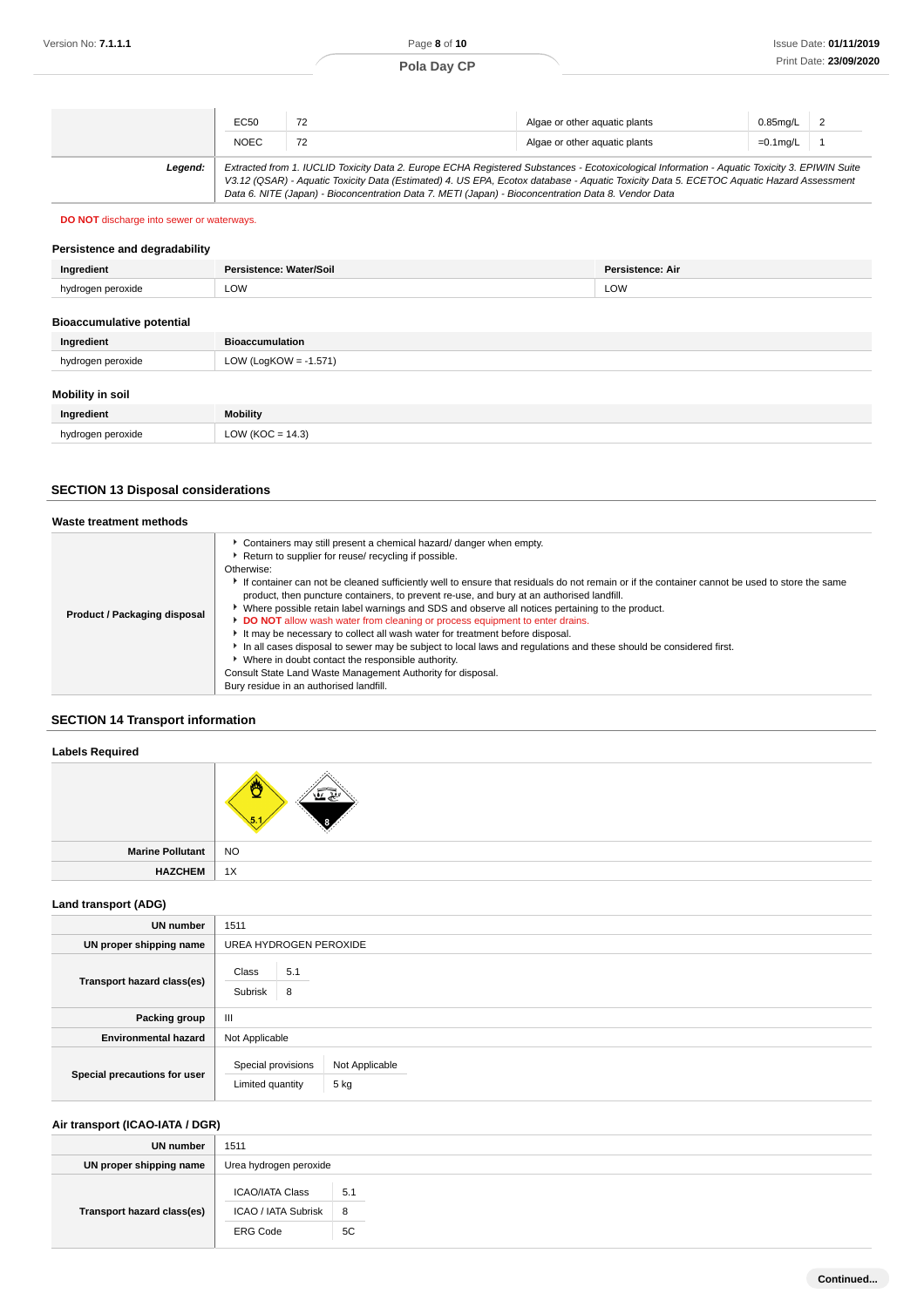## **Pola Day CP**

|         | EC50        | 72                                                                                                  | Algae or other aguatic plants                                                                                                                                                                                                                                                            | $0.85$ mg/L   2 |  |
|---------|-------------|-----------------------------------------------------------------------------------------------------|------------------------------------------------------------------------------------------------------------------------------------------------------------------------------------------------------------------------------------------------------------------------------------------|-----------------|--|
|         | <b>NOEC</b> | 72                                                                                                  | Algae or other aguatic plants                                                                                                                                                                                                                                                            | $=0.1$ mg/L     |  |
| Leaend: |             | Data 6. NITE (Japan) - Bioconcentration Data 7. METI (Japan) - Bioconcentration Data 8. Vendor Data | Extracted from 1. IUCLID Toxicity Data 2. Europe ECHA Registered Substances - Ecotoxicological Information - Aquatic Toxicity 3. EPIWIN Suite<br>V3.12 (QSAR) - Aquatic Toxicity Data (Estimated) 4. US EPA, Ecotox database - Aquatic Toxicity Data 5. ECETOC Aquatic Hazard Assessment |                 |  |

## **DO NOT** discharge into sewer or waterways.

## **Persistence and degradability**

| Ingredient                       | Persistence: Water/Soil | <b>Persistence: Air</b> |
|----------------------------------|-------------------------|-------------------------|
| hydrogen peroxide                | LOW                     | LOW                     |
| <b>Bioaccumulative notential</b> |                         |                         |

| <b>DIVACCUTTURE POLETING!</b> |                          |  |
|-------------------------------|--------------------------|--|
| Ingredient                    | <b>Bioaccumulation</b>   |  |
| hydrogen peroxide             | LOW (LogKOW = $-1.571$ ) |  |
| <b>Mobility in soil</b>       |                          |  |
| Ingredient                    | <b>Mobility</b>          |  |
| hydrogen peroxide             | LOW (KOC = $14.3$ )      |  |

## **SECTION 13 Disposal considerations**

| Waste treatment methods      |                                                                                                                                                                                                                                                                                                                                                                                                                                                                                                                                                                                                                                                                                                                                                                                                                                                                                                                                                    |
|------------------------------|----------------------------------------------------------------------------------------------------------------------------------------------------------------------------------------------------------------------------------------------------------------------------------------------------------------------------------------------------------------------------------------------------------------------------------------------------------------------------------------------------------------------------------------------------------------------------------------------------------------------------------------------------------------------------------------------------------------------------------------------------------------------------------------------------------------------------------------------------------------------------------------------------------------------------------------------------|
| Product / Packaging disposal | • Containers may still present a chemical hazard/ danger when empty.<br>Return to supplier for reuse/ recycling if possible.<br>Otherwise:<br>If container can not be cleaned sufficiently well to ensure that residuals do not remain or if the container cannot be used to store the same<br>product, then puncture containers, to prevent re-use, and bury at an authorised landfill.<br>▶ Where possible retain label warnings and SDS and observe all notices pertaining to the product.<br>DO NOT allow wash water from cleaning or process equipment to enter drains.<br>It may be necessary to collect all wash water for treatment before disposal.<br>In all cases disposal to sewer may be subject to local laws and regulations and these should be considered first.<br>• Where in doubt contact the responsible authority.<br>Consult State Land Waste Management Authority for disposal.<br>Bury residue in an authorised landfill. |

## **SECTION 14 Transport information**

### **Labels Required**

| Marine Pollutant | <b>NO</b> |
|------------------|-----------|
| <b>HAZCHEM</b>   | 1X        |

## **Land transport (ADG)**

| <b>UN number</b>             | 1511                                                             |
|------------------------------|------------------------------------------------------------------|
| UN proper shipping name      | UREA HYDROGEN PEROXIDE                                           |
| Transport hazard class(es)   | Class<br>5.1<br>Subrisk<br>8                                     |
| Packing group                | $\mathbf{III}$                                                   |
| <b>Environmental hazard</b>  | Not Applicable                                                   |
| Special precautions for user | Special provisions<br>Not Applicable<br>5 kg<br>Limited quantity |

## **Air transport (ICAO-IATA / DGR)**

| UN number                  | 1511                   |     |
|----------------------------|------------------------|-----|
| UN proper shipping name    | Urea hydrogen peroxide |     |
| Transport hazard class(es) | <b>ICAO/IATA Class</b> | 5.1 |
|                            | ICAO / IATA Subrisk    | 8   |
|                            | <b>ERG Code</b>        | 5C  |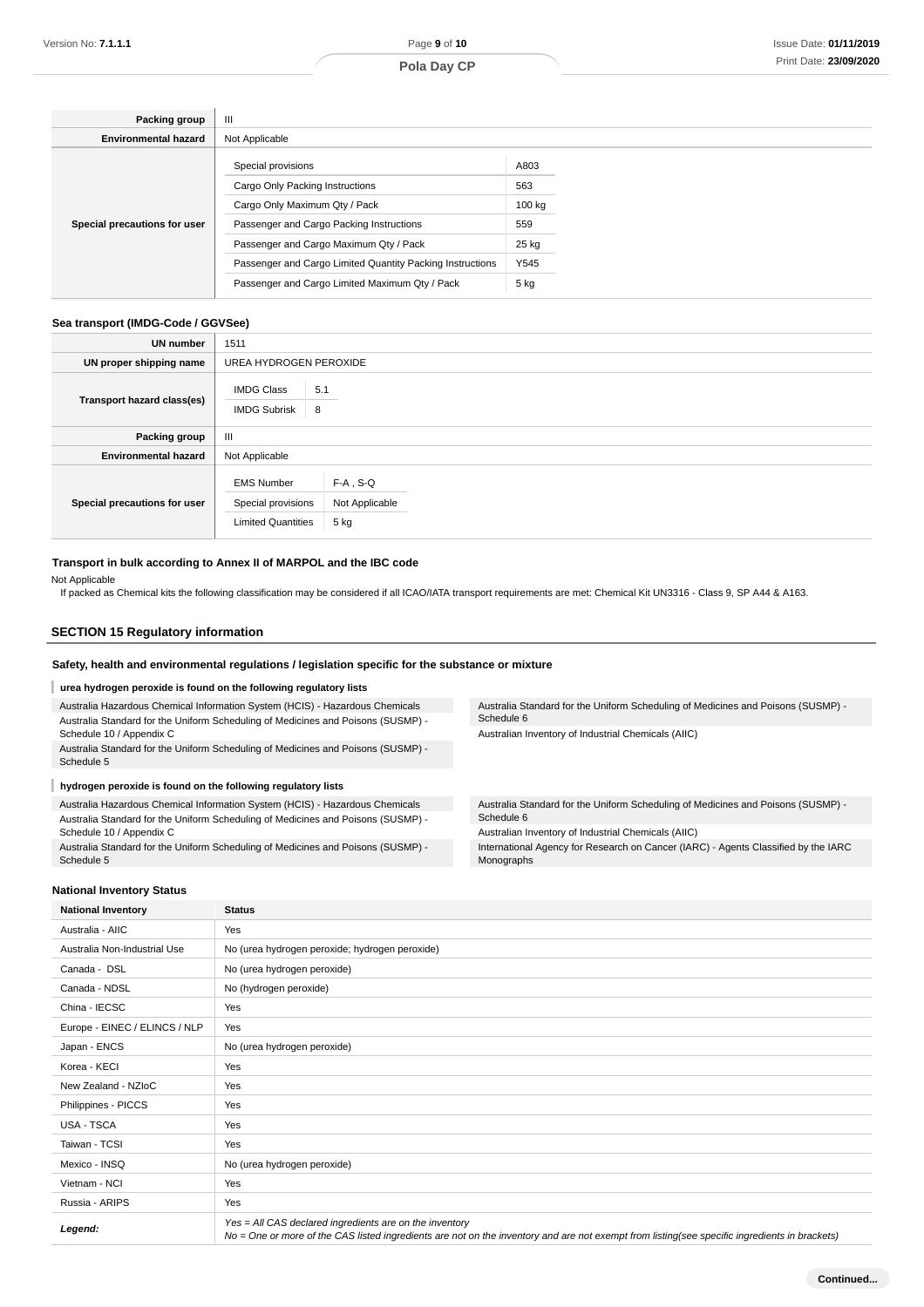| Packing group                | Ш                                                         |        |  |  |
|------------------------------|-----------------------------------------------------------|--------|--|--|
| <b>Environmental hazard</b>  | Not Applicable                                            |        |  |  |
|                              | Special provisions                                        | A803   |  |  |
|                              | Cargo Only Packing Instructions                           | 563    |  |  |
|                              | Cargo Only Maximum Qty / Pack                             | 100 kg |  |  |
| Special precautions for user | Passenger and Cargo Packing Instructions                  | 559    |  |  |
|                              | Passenger and Cargo Maximum Qty / Pack                    | 25 kg  |  |  |
|                              | Passenger and Cargo Limited Quantity Packing Instructions | Y545   |  |  |
|                              | Passenger and Cargo Limited Maximum Qty / Pack            | 5 kg   |  |  |

### **Sea transport (IMDG-Code / GGVSee)**

| <b>UN number</b>             | 1511                                                                 |                                       |  |  |
|------------------------------|----------------------------------------------------------------------|---------------------------------------|--|--|
| UN proper shipping name      | UREA HYDROGEN PEROXIDE                                               |                                       |  |  |
| Transport hazard class(es)   | <b>IMDG Class</b><br>8<br><b>IMDG Subrisk</b>                        | 5.1                                   |  |  |
| Packing group                | $\mathbf{III}$                                                       |                                       |  |  |
| <b>Environmental hazard</b>  | Not Applicable                                                       |                                       |  |  |
| Special precautions for user | <b>EMS Number</b><br>Special provisions<br><b>Limited Quantities</b> | $F-A$ , S-Q<br>Not Applicable<br>5 kg |  |  |

#### **Transport in bulk according to Annex II of MARPOL and the IBC code**

Not Applicable

If packed as Chemical kits the following classification may be considered if all ICAO/IATA transport requirements are met: Chemical Kit UN3316 - Class 9, SP A44 & A163.

## **SECTION 15 Regulatory information**

#### **Safety, health and environmental regulations / legislation specific for the substance or mixture**

#### I **urea hydrogen peroxide is found on the following regulatory lists**

Australia Hazardous Chemical Information System (HCIS) - Hazardous Chemicals Australia Standard for the Uniform Scheduling of Medicines and Poisons (SUSMP) - Schedule 10 / Appendix C

Australia Standard for the Uniform Scheduling of Medicines and Poisons (SUSMP) - Schedule 5

#### I **hydrogen peroxide is found on the following regulatory lists**

Australia Hazardous Chemical Information System (HCIS) - Hazardous Chemicals Australia Standard for the Uniform Scheduling of Medicines and Poisons (SUSMP) - Schedule 10 / Appendix C

Australia Standard for the Uniform Scheduling of Medicines and Poisons (SUSMP) - Schedule 5

**National Inventory Status**

Australia Standard for the Uniform Scheduling of Medicines and Poisons (SUSMP) - Schedule 6

Australian Inventory of Industrial Chemicals (AIIC)

Australia Standard for the Uniform Scheduling of Medicines and Poisons (SUSMP) - Schedule 6

Australian Inventory of Industrial Chemicals (AIIC)

International Agency for Research on Cancer (IARC) - Agents Classified by the IARC Monographs

| <b>National Inventory</b>     | <b>Status</b>                                                                                                                                                                                            |  |  |
|-------------------------------|----------------------------------------------------------------------------------------------------------------------------------------------------------------------------------------------------------|--|--|
| Australia - AIIC              | Yes                                                                                                                                                                                                      |  |  |
| Australia Non-Industrial Use  | No (urea hydrogen peroxide; hydrogen peroxide)                                                                                                                                                           |  |  |
| Canada - DSL                  | No (urea hydrogen peroxide)                                                                                                                                                                              |  |  |
| Canada - NDSL                 | No (hydrogen peroxide)                                                                                                                                                                                   |  |  |
| China - IECSC                 | Yes                                                                                                                                                                                                      |  |  |
| Europe - EINEC / ELINCS / NLP | Yes                                                                                                                                                                                                      |  |  |
| Japan - ENCS                  | No (urea hydrogen peroxide)                                                                                                                                                                              |  |  |
| Korea - KECI                  | Yes                                                                                                                                                                                                      |  |  |
| New Zealand - NZIoC           | Yes                                                                                                                                                                                                      |  |  |
| Philippines - PICCS           | Yes                                                                                                                                                                                                      |  |  |
| <b>USA - TSCA</b>             | Yes                                                                                                                                                                                                      |  |  |
| Taiwan - TCSI                 | Yes                                                                                                                                                                                                      |  |  |
| Mexico - INSQ                 | No (urea hydrogen peroxide)                                                                                                                                                                              |  |  |
| Vietnam - NCI                 | Yes                                                                                                                                                                                                      |  |  |
| Russia - ARIPS                | Yes                                                                                                                                                                                                      |  |  |
| Legend:                       | Yes = All CAS declared ingredients are on the inventory<br>No = One or more of the CAS listed ingredients are not on the inventory and are not exempt from listing(see specific ingredients in brackets) |  |  |